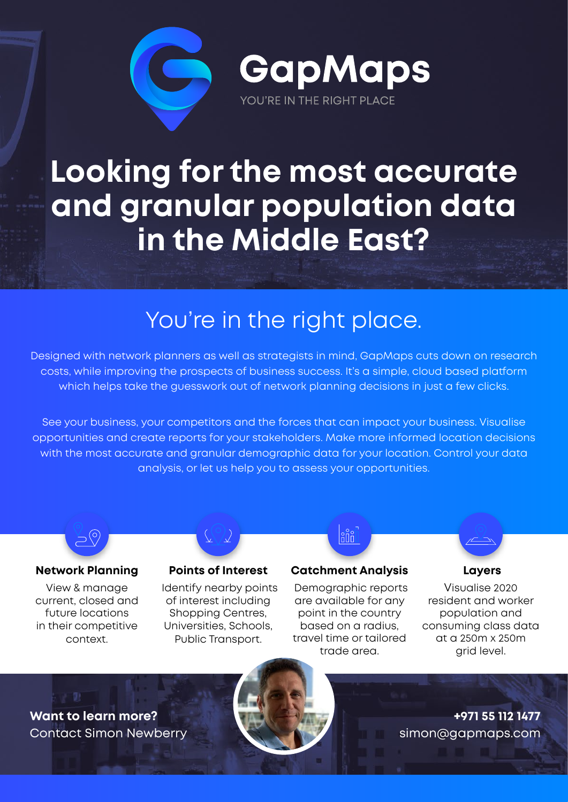

GapMaps YOU'RE IN THE RIGHT PLACE

# **Looking for the most accurate and granular population data in the Middle East?**

## You're in the right place.

Designed with network planners as well as strategists in mind, GapMaps cuts down on research costs, while improving the prospects of business success. It's a simple, cloud based platform which helps take the guesswork out of network planning decisions in just a few clicks.

See your business, your competitors and the forces that can impact your business. Visualise opportunities and create reports for your stakeholders. Make more informed location decisions with the most accurate and granular demographic data for your location. Control your data analysis, or let us help you to assess your opportunities.



#### **Network Planning**

View & manage current, closed and future locations in their competitive context.

#### **Points of Interest**

Identify nearby points of interest including Shopping Centres, Universities, Schools, Public Transport.

### **Catchment Analysis**

 $\stackrel{\circ}{\mathsf{min}}$ 

Demographic reports are available for any point in the country based on a radius, travel time or tailored trade area.



#### **Layers**

Visualise 2020 resident and worker population and consuming class data at a 250m x 250m grid level.

**+971 55 112 1477**

simon@gapmaps.com

**Want to learn more?** Contact Simon Newberry